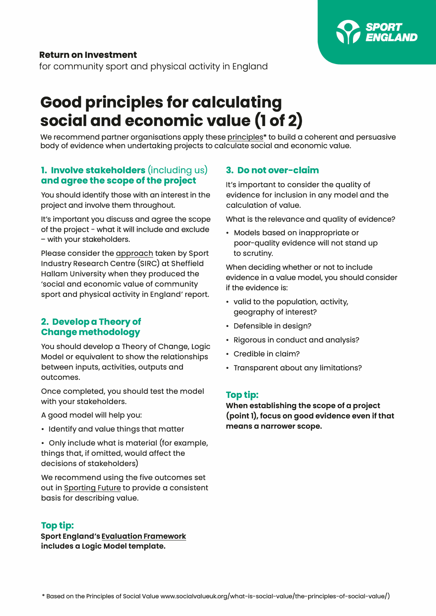

## **Return on Investment**

for community sport and physical activity in England

# **Good principles for calculating social and economic value (1 of 2)**

We recommend partner organisations apply these principles<sup>\*</sup> to build a coherent and persuasive body of evidence when undertaking projects to calculate social and economic value.

## **1. Involve stakeholders** (including us) **and agree the scope of the project**

You should identify those with an interest in the project and involve them throughout.

It's important you discuss and agree the scope of the project - what it will include and exclude - with your stakeholders.

[Please consider the approach taken](https://sportengland-production-files.s3.eu-west-2.amazonaws.com/s3fs-public/2020-09/Social%20return%20on%20investment.pdf?5BgvLn09jwpTesBJ4BXhVfRhV4TYgm9E=) by Sport Industry Research Centre (SIRC) at Sheffield Hallam University when they produced the 'social and economic value of community sport and physical activity in England' report.

### **2. Develop a Theory of Change methodology**

You should develop a Theory of Change, Logic Model or equivalent to show the relationships between inputs, activities, outputs and outcomes.

Once completed, you should test the model with your stakeholders.

A good model will help you:

• Identify and value things that matter

• Only include what is material (for example, things that, if omitted, would affect the decisions of stakeholders)

We recommend using the five outcomes set out [in Sporting Future to](https://www.gov.uk/government/publications/sporting-future-second-annual-report) provide a consistent basis for describing value.

### **Top tip:**

**[Sport England's Evaluation Framework](https://evaluationframework.sportengland.org)  includes a Logic Model template.** 

#### **3. Do not over-claim**

It's important to consider the quality of evidence for inclusion in any model and the calculation of value.

What is the relevance and quality of evidence?

• Models based on inappropriate or poor-quality evidence will not stand up to scrutiny.

When deciding whether or not to include evidence in a value model, you should consider if the evidence is:

- valid to the population, activity, geography of interest?
- Defensible in design?
- Rigorous in conduct and analysis?
- Credible in claim?
- Transparent about any limitations?

#### **Top tip:**

**When establishing the scope of a project (point 1), focus on good evidence even if that means a narrower scope.**